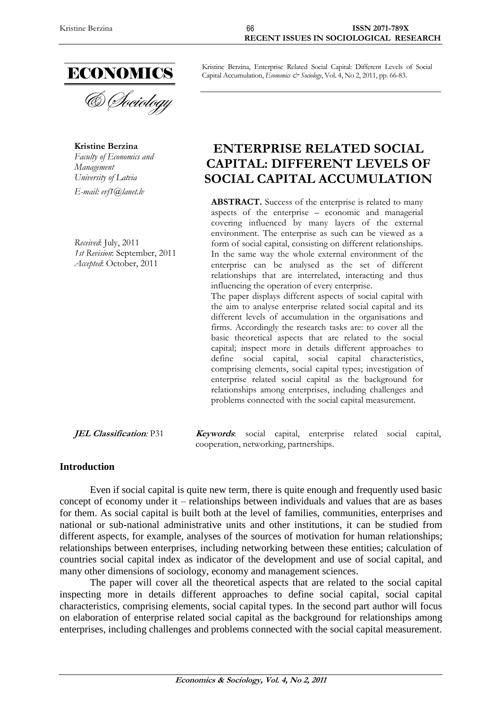

**Kristine Berzina** *Faculty of Economics and Management University of Latvia E-mail: evf1@lanet.lv*

*Received*: July, 2011 *1st Revision*: September, 2011 *Accepted*: October, 2011

Kristine Berzina, Enterprise Related Social Capital: Different Levels of Social Capital Accumulation, *Economics & Sociology*, Vol. 4, No 2, 2011, pp. 66-83.

# **ENTERPRISE RELATED SOCIAL CAPITAL: DIFFERENT LEVELS OF SOCIAL CAPITAL ACCUMULATION**

ABSTRACT. Success of the enterprise is related to many aspects of the enterprise – economic and managerial covering influenced by many layers of the external environment. The enterprise as such can be viewed as a form of social capital, consisting on different relationships. In the same way the whole external environment of the enterprise can be analysed as the set of different relationships that are interrelated, interacting and thus influencing the operation of every enterprise.

The paper displays different aspects of social capital with the aim to analyse enterprise related social capital and its different levels of accumulation in the organisations and firms. Accordingly the research tasks are: to cover all the basic theoretical aspects that are related to the social capital; inspect more in details different approaches to define social capital, social capital characteristics, comprising elements, social capital types; investigation of enterprise related social capital as the background for relationships among enterprises, including challenges and problems connected with the social capital measurement.

**JEL Classification***:* P31 **Keywords**: social capital, enterprise related social capital, cooperation, networking, partnerships.

## **Introduction**

Even if social capital is quite new term, there is quite enough and frequently used basic concept of economy under it – relationships between individuals and values that are as bases for them. As social capital is built both at the level of families, communities, enterprises and national or sub-national administrative units and other institutions, it can be studied from different aspects, for example, analyses of the sources of motivation for human relationships; relationships between enterprises, including networking between these entities; calculation of countries social capital index as indicator of the development and use of social capital, and many other dimensions of sociology, economy and management sciences.

The paper will cover all the theoretical aspects that are related to the social capital inspecting more in details different approaches to define social capital, social capital characteristics, comprising elements, social capital types. In the second part author will focus on elaboration of enterprise related social capital as the background for relationships among enterprises, including challenges and problems connected with the social capital measurement.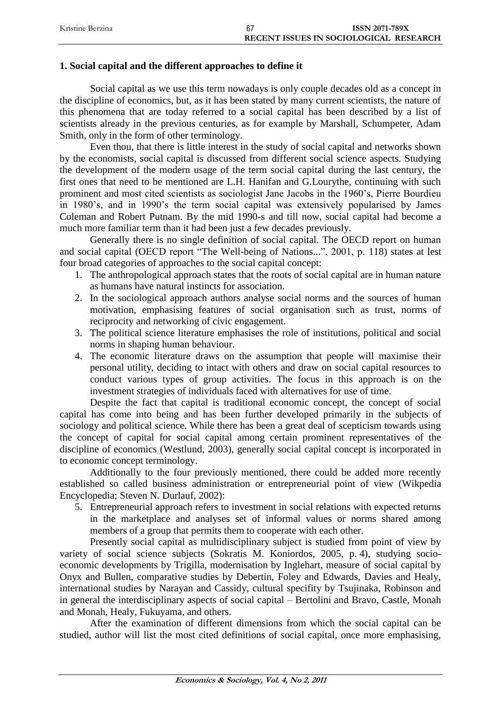| Kristine Berzina | -67 | <b>ISSN 2071-789X</b>                  |
|------------------|-----|----------------------------------------|
|                  |     | RECENT ISSUES IN SOCIOLOGICAL RESEARCH |

## **1. Social capital and the different approaches to define it**

Social capital as we use this term nowadays is only couple decades old as a concept in the discipline of economics, but, as it has been stated by many current scientists, the nature of this phenomena that are today referred to a social capital has been described by a list of scientists already in the previous centuries, as for example by Marshall, Schumpeter, Adam Smith, only in the form of other terminology.

Even thou, that there is little interest in the study of social capital and networks shown by the economists, social capital is discussed from different social science aspects. Studying the development of the modern usage of the term social capital during the last century, the first ones that need to be mentioned are L.H. Hanifan and G.Lourythe, continuing with such prominent and most cited scientists as sociologist Jane Jacobs in the 1960's, Pierre Bourdieu in 1980's, and in 1990's the term social capital was extensively popularised by James Coleman and Robert Putnam. By the mid 1990-s and till now, social capital had become a much more familiar term than it had been just a few decades previously.

Generally there is no single definition of social capital. The OECD report on human and social capital (OECD report "The Well-being of Nations...", 2001, p. 118) states at lest four broad categories of approaches to the social capital concept:

- 1. The anthropological approach states that the roots of social capital are in human nature as humans have natural instincts for association.
- 2. In the sociological approach authors analyse social norms and the sources of human motivation, emphasising features of social organisation such as trust, norms of reciprocity and networking of civic engagement.
- 3. The political science literature emphasises the role of institutions, political and social norms in shaping human behaviour.
- 4. The economic literature draws on the assumption that people will maximise their personal utility, deciding to intact with others and draw on social capital resources to conduct various types of group activities. The focus in this approach is on the investment strategies of individuals faced with alternatives for use of time.

Despite the fact that capital is traditional economic concept, the concept of social capital has come into being and has been further developed primarily in the subjects of sociology and political science. While there has been a great deal of scepticism towards using the concept of capital for social capital among certain prominent representatives of the discipline of economics (Westlund, 2003), generally social capital concept is incorporated in to economic concept terminology.

Additionally to the four previously mentioned, there could be added more recently established so called business administration or entrepreneurial point of view (Wikpedia Encyclopedia; Steven N. Durlauf, 2002):

5. Entrepreneurial approach refers to investment in social relations with expected returns in the marketplace and analyses set of informal values or norms shared among members of a group that permits them to cooperate with each other.

Presently social capital as multidisciplinary subject is studied from point of view by variety of social science subjects (Sokratis M. Koniordos, 2005, p. 4), studying socioeconomic developments by Trigilla, modernisation by Inglehart, measure of social capital by Onyx and Bullen, comparative studies by Debertin, Foley and Edwards, Davies and Healy, international studies by Narayan and Cassidy, cultural specifity by Tsujinaka, Robinson and in general the interdisciplinary aspects of social capital – Bertolini and Bravo, Castle, Monah and Monah, Healy, Fukuyama, and others.

After the examination of different dimensions from which the social capital can be studied, author will list the most cited definitions of social capital, once more emphasising,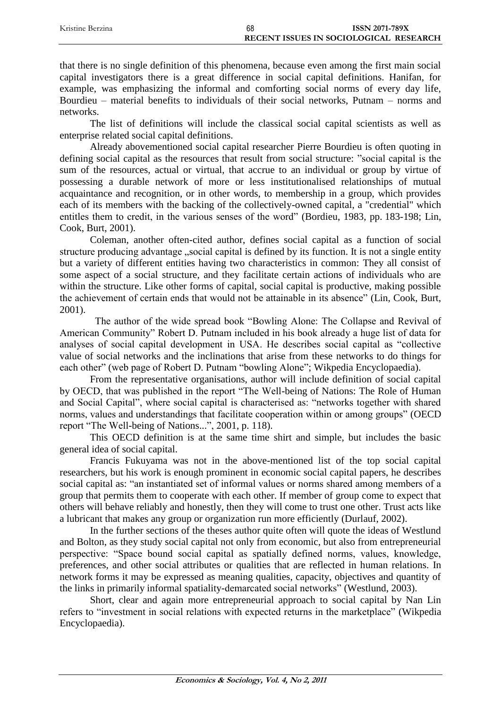| Kristine Berzina | 68 | <b>ISSN 2071-789X</b>                  |
|------------------|----|----------------------------------------|
|                  |    | RECENT ISSUES IN SOCIOLOGICAL RESEARCH |

that there is no single definition of this phenomena, because even among the first main social capital investigators there is a great difference in social capital definitions. Hanifan, for example, was emphasizing the informal and comforting social norms of every day life, Bourdieu – material benefits to individuals of their social networks, Putnam – norms and networks.

The list of definitions will include the classical social capital scientists as well as enterprise related social capital definitions.

Already abovementioned social capital researcher Pierre Bourdieu is often quoting in defining social capital as the resources that result from social structure: "social capital is the sum of the resources, actual or virtual, that accrue to an individual or group by virtue of possessing a durable network of more or less institutionalised relationships of mutual acquaintance and recognition, or in other words, to membership in a group, which provides each of its members with the backing of the collectively-owned capital, a "credential" which entitles them to credit, in the various senses of the word" (Bordieu, 1983, pp. 183-198; Lin, Cook, Burt, 2001).

Coleman, another often-cited author, defines social capital as a function of social structure producing advantage "social capital is defined by its function. It is not a single entity but a variety of different entities having two characteristics in common: They all consist of some aspect of a social structure, and they facilitate certain actions of individuals who are within the structure. Like other forms of capital, social capital is productive, making possible the achievement of certain ends that would not be attainable in its absence" (Lin, Cook, Burt, 2001).

The author of the wide spread book "Bowling Alone: The Collapse and Revival of American Community" Robert D. Putnam included in his book already a huge list of data for analyses of social capital development in USA. He describes social capital as "collective value of social networks and the inclinations that arise from these networks to do things for each other" (web page of Robert D. Putnam "bowling Alone"; Wikpedia Encyclopaedia).

From the representative organisations, author will include definition of social capital by OECD, that was published in the report "The Well-being of Nations: The Role of Human and Social Capital", where social capital is characterised as: "networks together with shared norms, values and understandings that facilitate cooperation within or among groups" (OECD report "The Well-being of Nations...", 2001, p. 118).

This OECD definition is at the same time shirt and simple, but includes the basic general idea of social capital.

Francis Fukuyama was not in the above-mentioned list of the top social capital researchers, but his work is enough prominent in economic social capital papers, he describes social capital as: "an instantiated set of informal values or norms shared among members of a group that permits them to cooperate with each other. If member of group come to expect that others will behave reliably and honestly, then they will come to trust one other. Trust acts like a lubricant that makes any group or organization run more efficiently (Durlauf, 2002).

In the further sections of the theses author quite often will quote the ideas of Westlund and Bolton, as they study social capital not only from economic, but also from entrepreneurial perspective: "Space bound social capital as spatially defined norms, values, knowledge, preferences, and other social attributes or qualities that are reflected in human relations. In network forms it may be expressed as meaning qualities, capacity, objectives and quantity of the links in primarily informal spatiality-demarcated social networks" (Westlund, 2003).

Short, clear and again more entrepreneurial approach to social capital by Nan Lin refers to "investment in social relations with expected returns in the marketplace" (Wikpedia Encyclopaedia).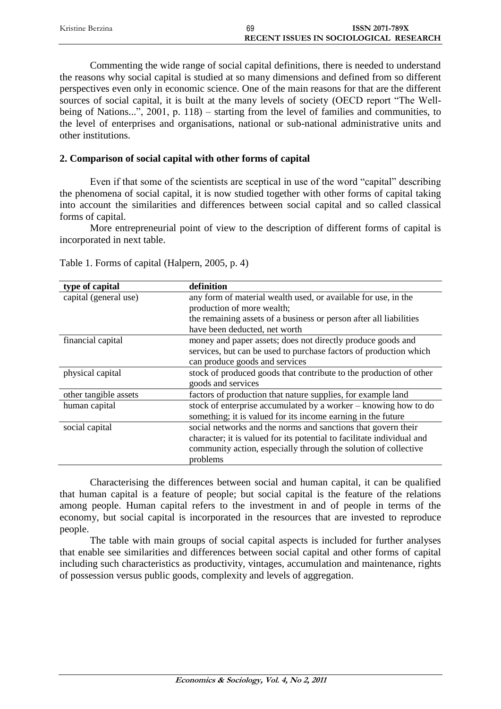| Kristine Berzina | 69                                     | <b>ISSN 2071-789X</b> |
|------------------|----------------------------------------|-----------------------|
|                  | RECENT ISSUES IN SOCIOLOGICAL RESEARCH |                       |

Commenting the wide range of social capital definitions, there is needed to understand the reasons why social capital is studied at so many dimensions and defined from so different perspectives even only in economic science. One of the main reasons for that are the different sources of social capital, it is built at the many levels of society (OECD report "The Wellbeing of Nations...", 2001, p. 118) – starting from the level of families and communities, to the level of enterprises and organisations, national or sub-national administrative units and other institutions.

## **2. Comparison of social capital with other forms of capital**

Even if that some of the scientists are sceptical in use of the word "capital" describing the phenomena of social capital, it is now studied together with other forms of capital taking into account the similarities and differences between social capital and so called classical forms of capital.

More entrepreneurial point of view to the description of different forms of capital is incorporated in next table.

| type of capital       | definition                                                             |
|-----------------------|------------------------------------------------------------------------|
| capital (general use) | any form of material wealth used, or available for use, in the         |
|                       | production of more wealth;                                             |
|                       | the remaining assets of a business or person after all liabilities     |
|                       | have been deducted, net worth                                          |
| financial capital     | money and paper assets; does not directly produce goods and            |
|                       | services, but can be used to purchase factors of production which      |
|                       | can produce goods and services                                         |
| physical capital      | stock of produced goods that contribute to the production of other     |
|                       | goods and services                                                     |
| other tangible assets | factors of production that nature supplies, for example land           |
| human capital         | stock of enterprise accumulated by a worker – knowing how to do        |
|                       | something; it is valued for its income earning in the future           |
| social capital        | social networks and the norms and sanctions that govern their          |
|                       | character; it is valued for its potential to facilitate individual and |
|                       | community action, especially through the solution of collective        |
|                       | problems                                                               |

Table 1. Forms of capital (Halpern, 2005, p. 4)

Characterising the differences between social and human capital, it can be qualified that human capital is a feature of people; but social capital is the feature of the relations among people. Human capital refers to the investment in and of people in terms of the economy, but social capital is incorporated in the resources that are invested to reproduce people.

The table with main groups of social capital aspects is included for further analyses that enable see similarities and differences between social capital and other forms of capital including such characteristics as productivity, vintages, accumulation and maintenance, rights of possession versus public goods, complexity and levels of aggregation.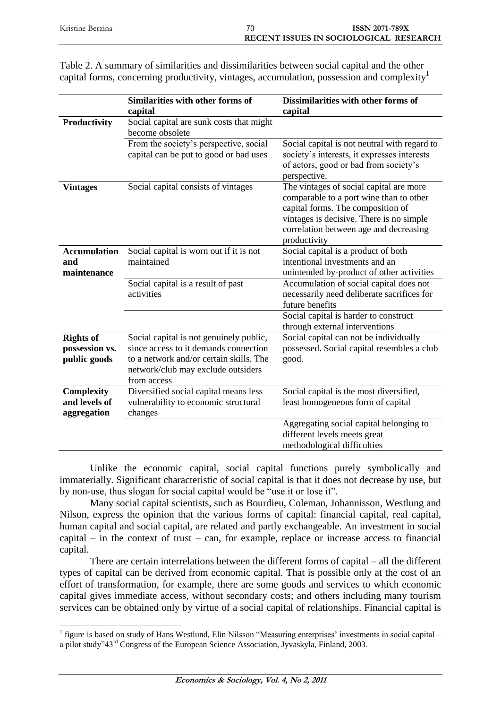| Kristine Berzina | 70 | <b>ISSN 2071-789X</b>                  |
|------------------|----|----------------------------------------|
|                  |    | RECENT ISSUES IN SOCIOLOGICAL RESEARCH |

|                                                    | Similarities with other forms of<br>capital                                                                                                                                      | Dissimilarities with other forms of<br>capital                                                                                                                                                                                |
|----------------------------------------------------|----------------------------------------------------------------------------------------------------------------------------------------------------------------------------------|-------------------------------------------------------------------------------------------------------------------------------------------------------------------------------------------------------------------------------|
| Productivity                                       | Social capital are sunk costs that might<br>become obsolete                                                                                                                      |                                                                                                                                                                                                                               |
|                                                    | From the society's perspective, social<br>capital can be put to good or bad uses                                                                                                 | Social capital is not neutral with regard to<br>society's interests, it expresses interests<br>of actors, good or bad from society's<br>perspective.                                                                          |
| <b>Vintages</b>                                    | Social capital consists of vintages                                                                                                                                              | The vintages of social capital are more<br>comparable to a port wine than to other<br>capital forms. The composition of<br>vintages is decisive. There is no simple<br>correlation between age and decreasing<br>productivity |
| <b>Accumulation</b><br>and<br>maintenance          | Social capital is worn out if it is not<br>maintained                                                                                                                            | Social capital is a product of both<br>intentional investments and an<br>unintended by-product of other activities                                                                                                            |
|                                                    | Social capital is a result of past<br>activities                                                                                                                                 | Accumulation of social capital does not<br>necessarily need deliberate sacrifices for<br>future benefits                                                                                                                      |
|                                                    |                                                                                                                                                                                  | Social capital is harder to construct<br>through external interventions                                                                                                                                                       |
| <b>Rights of</b><br>possession vs.<br>public goods | Social capital is not genuinely public,<br>since access to it demands connection<br>to a network and/or certain skills. The<br>network/club may exclude outsiders<br>from access | Social capital can not be individually<br>possessed. Social capital resembles a club<br>good.                                                                                                                                 |
| <b>Complexity</b><br>and levels of<br>aggregation  | Diversified social capital means less<br>vulnerability to economic structural<br>changes                                                                                         | Social capital is the most diversified,<br>least homogeneous form of capital                                                                                                                                                  |
|                                                    |                                                                                                                                                                                  | Aggregating social capital belonging to<br>different levels meets great<br>methodological difficulties                                                                                                                        |

Table 2. A summary of similarities and dissimilarities between social capital and the other capital forms, concerning productivity, vintages, accumulation, possession and complexity<sup>1</sup>

Unlike the economic capital, social capital functions purely symbolically and immaterially. Significant characteristic of social capital is that it does not decrease by use, but by non-use, thus slogan for social capital would be "use it or lose it".

Many social capital scientists, such as Bourdieu, Coleman, Johannisson, Westlung and Nilson, express the opinion that the various forms of capital: financial capital, real capital, human capital and social capital, are related and partly exchangeable. An investment in social capital – in the context of trust – can, for example, replace or increase access to financial capital.

There are certain interrelations between the different forms of capital – all the different types of capital can be derived from economic capital. That is possible only at the cost of an effort of transformation, for example, there are some goods and services to which economic capital gives immediate access, without secondary costs; and others including many tourism services can be obtained only by virtue of a social capital of relationships. Financial capital is

 $\overline{a}$ 

<sup>&</sup>lt;sup>1</sup> figure is based on study of Hans Westlund, Elin Nilsson "Measuring enterprises' investments in social capital – a pilot study"43rd Congress of the European Science Association, Jyvaskyla, Finland, 2003.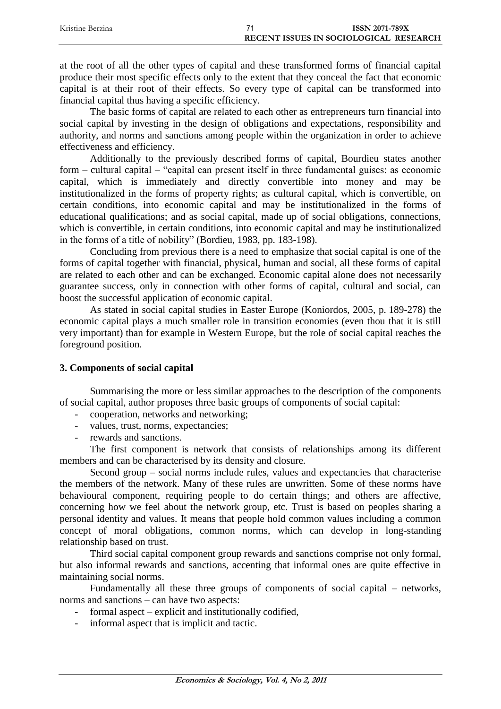| Kristine Berzina | <b>ISSN 2071-789X</b>                  |  |
|------------------|----------------------------------------|--|
|                  | RECENT ISSUES IN SOCIOLOGICAL RESEARCH |  |

at the root of all the other types of capital and these transformed forms of financial capital produce their most specific effects only to the extent that they conceal the fact that economic capital is at their root of their effects. So every type of capital can be transformed into financial capital thus having a specific efficiency.

The basic forms of capital are related to each other as entrepreneurs turn financial into social capital by investing in the design of obligations and expectations, responsibility and authority, and norms and sanctions among people within the organization in order to achieve effectiveness and efficiency.

Additionally to the previously described forms of capital, Bourdieu states another form – cultural capital – "capital can present itself in three fundamental guises: as economic capital, which is immediately and directly convertible into money and may be institutionalized in the forms of property rights; as cultural capital, which is convertible, on certain conditions, into economic capital and may be institutionalized in the forms of educational qualifications; and as social capital, made up of social obligations, connections, which is convertible, in certain conditions, into economic capital and may be institutionalized in the forms of a title of nobility" (Bordieu, 1983, pp. 183-198).

Concluding from previous there is a need to emphasize that social capital is one of the forms of capital together with financial, physical, human and social, all these forms of capital are related to each other and can be exchanged. Economic capital alone does not necessarily guarantee success, only in connection with other forms of capital, cultural and social, can boost the successful application of economic capital.

As stated in social capital studies in Easter Europe (Koniordos, 2005, p. 189-278) the economic capital plays a much smaller role in transition economies (even thou that it is still very important) than for example in Western Europe, but the role of social capital reaches the foreground position.

# **3. Components of social capital**

Summarising the more or less similar approaches to the description of the components of social capital, author proposes three basic groups of components of social capital:

- cooperation, networks and networking;
- values, trust, norms, expectancies;
- rewards and sanctions.

The first component is network that consists of relationships among its different members and can be characterised by its density and closure.

Second group – social norms include rules, values and expectancies that characterise the members of the network. Many of these rules are unwritten. Some of these norms have behavioural component, requiring people to do certain things; and others are affective, concerning how we feel about the network group, etc. Trust is based on peoples sharing a personal identity and values. It means that people hold common values including a common concept of moral obligations, common norms, which can develop in long-standing relationship based on trust.

Third social capital component group rewards and sanctions comprise not only formal, but also informal rewards and sanctions, accenting that informal ones are quite effective in maintaining social norms.

Fundamentally all these three groups of components of social capital – networks, norms and sanctions – can have two aspects:

- formal aspect explicit and institutionally codified,
- informal aspect that is implicit and tactic.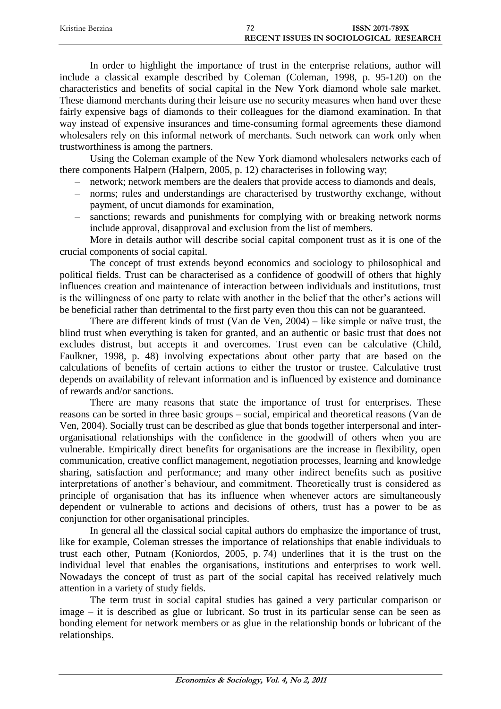| Kristine Berzina | ᢇ                                      | <b>ISSN 2071-789X</b> |
|------------------|----------------------------------------|-----------------------|
|                  | RECENT ISSUES IN SOCIOLOGICAL RESEARCH |                       |

In order to highlight the importance of trust in the enterprise relations, author will include a classical example described by Coleman (Coleman, 1998, p. 95-120) on the characteristics and benefits of social capital in the New York diamond whole sale market. These diamond merchants during their leisure use no security measures when hand over these fairly expensive bags of diamonds to their colleagues for the diamond examination. In that way instead of expensive insurances and time-consuming formal agreements these diamond wholesalers rely on this informal network of merchants. Such network can work only when trustworthiness is among the partners.

Using the Coleman example of the New York diamond wholesalers networks each of there components Halpern (Halpern, 2005, p. 12) characterises in following way;

- network; network members are the dealers that provide access to diamonds and deals,
- norms; rules and understandings are characterised by trustworthy exchange, without payment, of uncut diamonds for examination,
- sanctions; rewards and punishments for complying with or breaking network norms include approval, disapproval and exclusion from the list of members.

More in details author will describe social capital component trust as it is one of the crucial components of social capital.

The concept of trust extends beyond economics and sociology to philosophical and political fields. Trust can be characterised as a confidence of goodwill of others that highly influences creation and maintenance of interaction between individuals and institutions, trust is the willingness of one party to relate with another in the belief that the other's actions will be beneficial rather than detrimental to the first party even thou this can not be guaranteed.

There are different kinds of trust (Van de Ven, 2004) – like simple or naïve trust, the blind trust when everything is taken for granted, and an authentic or basic trust that does not excludes distrust, but accepts it and overcomes. Trust even can be calculative (Child, Faulkner, 1998, p. 48) involving expectations about other party that are based on the calculations of benefits of certain actions to either the trustor or trustee. Calculative trust depends on availability of relevant information and is influenced by existence and dominance of rewards and/or sanctions.

There are many reasons that state the importance of trust for enterprises. These reasons can be sorted in three basic groups – social, empirical and theoretical reasons (Van de Ven, 2004). Socially trust can be described as glue that bonds together interpersonal and interorganisational relationships with the confidence in the goodwill of others when you are vulnerable. Empirically direct benefits for organisations are the increase in flexibility, open communication, creative conflict management, negotiation processes, learning and knowledge sharing, satisfaction and performance; and many other indirect benefits such as positive interpretations of another's behaviour, and commitment. Theoretically trust is considered as principle of organisation that has its influence when whenever actors are simultaneously dependent or vulnerable to actions and decisions of others, trust has a power to be as conjunction for other organisational principles.

In general all the classical social capital authors do emphasize the importance of trust, like for example, Coleman stresses the importance of relationships that enable individuals to trust each other, Putnam (Koniordos, 2005, p. 74) underlines that it is the trust on the individual level that enables the organisations, institutions and enterprises to work well. Nowadays the concept of trust as part of the social capital has received relatively much attention in a variety of study fields.

The term trust in social capital studies has gained a very particular comparison or image – it is described as glue or lubricant. So trust in its particular sense can be seen as bonding element for network members or as glue in the relationship bonds or lubricant of the relationships.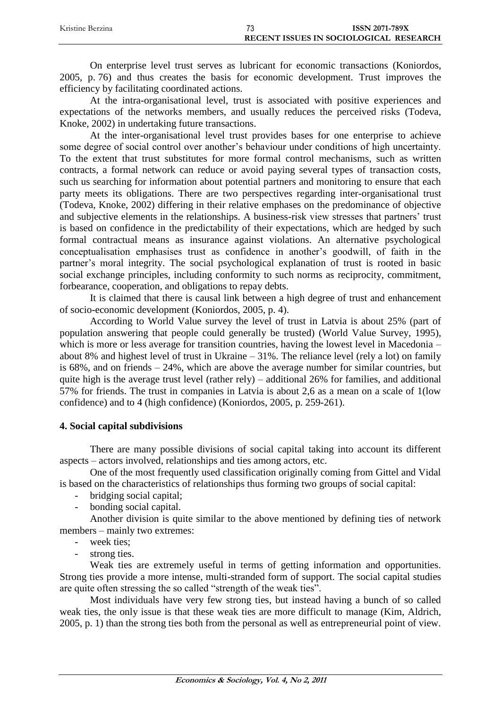| Kristine Berzina | - - | <b>ISSN 2071-789X</b>                  |  |
|------------------|-----|----------------------------------------|--|
|                  |     | RECENT ISSUES IN SOCIOLOGICAL RESEARCH |  |

On enterprise level trust serves as lubricant for economic transactions (Koniordos, 2005, p. 76) and thus creates the basis for economic development. Trust improves the efficiency by facilitating coordinated actions.

At the intra-organisational level, trust is associated with positive experiences and expectations of the networks members, and usually reduces the perceived risks (Todeva, Knoke, 2002) in undertaking future transactions.

At the inter-organisational level trust provides bases for one enterprise to achieve some degree of social control over another's behaviour under conditions of high uncertainty. To the extent that trust substitutes for more formal control mechanisms, such as written contracts, a formal network can reduce or avoid paying several types of transaction costs, such us searching for information about potential partners and monitoring to ensure that each party meets its obligations. There are two perspectives regarding inter-organisational trust (Todeva, Knoke, 2002) differing in their relative emphases on the predominance of objective and subjective elements in the relationships. A business-risk view stresses that partners' trust is based on confidence in the predictability of their expectations, which are hedged by such formal contractual means as insurance against violations. An alternative psychological conceptualisation emphasises trust as confidence in another's goodwill, of faith in the partner's moral integrity. The social psychological explanation of trust is rooted in basic social exchange principles, including conformity to such norms as reciprocity, commitment, forbearance, cooperation, and obligations to repay debts.

It is claimed that there is causal link between a high degree of trust and enhancement of socio-economic development (Koniordos, 2005, p. 4).

According to World Value survey the level of trust in Latvia is about 25% (part of population answering that people could generally be trusted) (World Value Survey, 1995), which is more or less average for transition countries, having the lowest level in Macedonia – about 8% and highest level of trust in Ukraine – 31%. The reliance level (rely a lot) on family is 68%, and on friends – 24%, which are above the average number for similar countries, but quite high is the average trust level (rather rely) – additional 26% for families, and additional 57% for friends. The trust in companies in Latvia is about 2,6 as a mean on a scale of 1(low confidence) and to 4 (high confidence) (Koniordos, 2005, p. 259-261).

## **4. Social capital subdivisions**

There are many possible divisions of social capital taking into account its different aspects – actors involved, relationships and ties among actors, etc.

One of the most frequently used classification originally coming from Gittel and Vidal is based on the characteristics of relationships thus forming two groups of social capital:

- bridging social capital;
- bonding social capital.

Another division is quite similar to the above mentioned by defining ties of network members – mainly two extremes:

- week ties:
- strong ties.

Weak ties are extremely useful in terms of getting information and opportunities. Strong ties provide a more intense, multi-stranded form of support. The social capital studies are quite often stressing the so called "strength of the weak ties".

Most individuals have very few strong ties, but instead having a bunch of so called weak ties, the only issue is that these weak ties are more difficult to manage (Kim, Aldrich, 2005, p. 1) than the strong ties both from the personal as well as entrepreneurial point of view.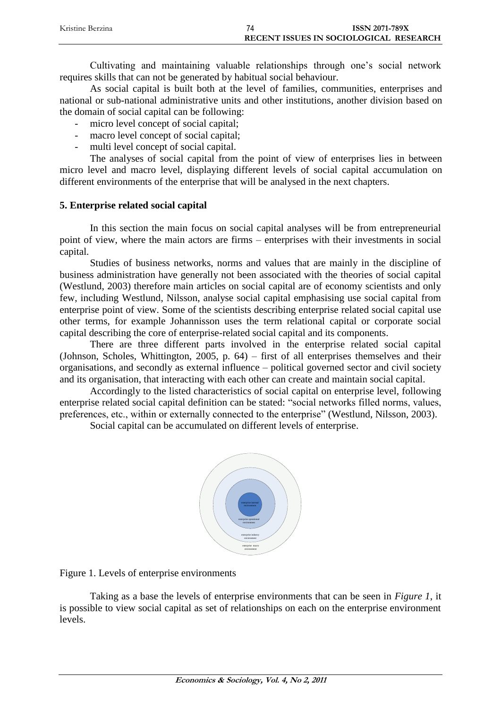| Kristine Berzina | <b>ISSN 2071-789X</b>                  |
|------------------|----------------------------------------|
|                  | RECENT ISSUES IN SOCIOLOGICAL RESEARCH |

Cultivating and maintaining valuable relationships through one's social network requires skills that can not be generated by habitual social behaviour.

As social capital is built both at the level of families, communities, enterprises and national or sub-national administrative units and other institutions, another division based on the domain of social capital can be following:

- micro level concept of social capital;
- macro level concept of social capital;
- multi level concept of social capital.

The analyses of social capital from the point of view of enterprises lies in between micro level and macro level, displaying different levels of social capital accumulation on different environments of the enterprise that will be analysed in the next chapters.

## **5. Enterprise related social capital**

In this section the main focus on social capital analyses will be from entrepreneurial point of view, where the main actors are firms – enterprises with their investments in social capital.

Studies of business networks, norms and values that are mainly in the discipline of business administration have generally not been associated with the theories of social capital (Westlund, 2003) therefore main articles on social capital are of economy scientists and only few, including Westlund, Nilsson, analyse social capital emphasising use social capital from enterprise point of view. Some of the scientists describing enterprise related social capital use other terms, for example Johannisson uses the term relational capital or corporate social capital describing the core of enterprise-related social capital and its components.

There are three different parts involved in the enterprise related social capital (Johnson, Scholes, Whittington, 2005, p. 64) – first of all enterprises themselves and their organisations, and secondly as external influence – political governed sector and civil society and its organisation, that interacting with each other can create and maintain social capital.

Accordingly to the listed characteristics of social capital on enterprise level, following enterprise related social capital definition can be stated: "social networks filled norms, values, preferences, etc., within or externally connected to the enterprise" (Westlund, Nilsson, 2003).

Social capital can be accumulated on different levels of enterprise.



Figure 1. Levels of enterprise environments

Taking as a base the levels of enterprise environments that can be seen in *Figure 1*, it is possible to view social capital as set of relationships on each on the enterprise environment levels.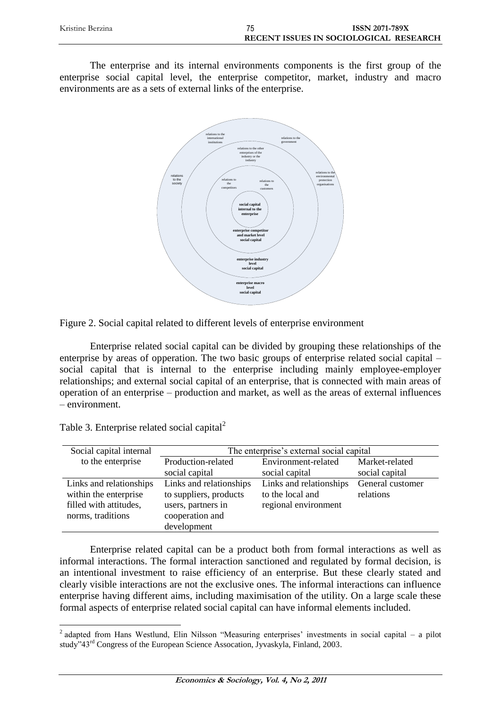| Kristine Berzina | <b>ISSN 2071-789X</b>                  |
|------------------|----------------------------------------|
|                  | RECENT ISSUES IN SOCIOLOGICAL RESEARCH |

The enterprise and its internal environments components is the first group of the enterprise social capital level, the enterprise competitor, market, industry and macro environments are as a sets of external links of the enterprise.



Figure 2. Social capital related to different levels of enterprise environment

Enterprise related social capital can be divided by grouping these relationships of the enterprise by areas of opperation. The two basic groups of enterprise related social capital – social capital that is internal to the enterprise including mainly employee-employer relationships; and external social capital of an enterprise, that is connected with main areas of operation of an enterprise – production and market, as well as the areas of external influences – environment.

| Social capital internal                                                                         | The enterprise's external social capital                                                                  |                                                                     |                               |
|-------------------------------------------------------------------------------------------------|-----------------------------------------------------------------------------------------------------------|---------------------------------------------------------------------|-------------------------------|
| to the enterprise                                                                               | Production-related                                                                                        | Environment-related                                                 | Market-related                |
|                                                                                                 | social capital                                                                                            | social capital                                                      | social capital                |
| Links and relationships<br>within the enterprise<br>filled with attitudes,<br>norms, traditions | Links and relationships<br>to suppliers, products<br>users, partners in<br>cooperation and<br>development | Links and relationships<br>to the local and<br>regional environment | General customer<br>relations |

Table 3. Enterprise related social capital<sup>2</sup>

 $\overline{a}$ 

Enterprise related capital can be a product both from formal interactions as well as informal interactions. The formal interaction sanctioned and regulated by formal decision, is an intentional investment to raise efficiency of an enterprise. But these clearly stated and clearly visible interactions are not the exclusive ones. The informal interactions can influence enterprise having different aims, including maximisation of the utility. On a large scale these formal aspects of enterprise related social capital can have informal elements included.

<sup>&</sup>lt;sup>2</sup> adapted from Hans Westlund, Elin Nilsson "Measuring enterprises' investments in social capital – a pilot study"43rd Congress of the European Science Assocation, Jyvaskyla, Finland, 2003.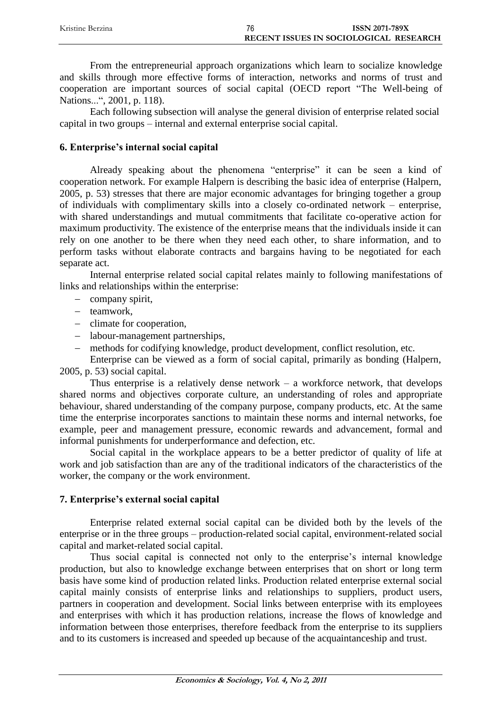| Kristine Berzina | 76                                     | <b>ISSN 2071-789X</b> |
|------------------|----------------------------------------|-----------------------|
|                  | RECENT ISSUES IN SOCIOLOGICAL RESEARCH |                       |

From the entrepreneurial approach organizations which learn to socialize knowledge and skills through more effective forms of interaction, networks and norms of trust and cooperation are important sources of social capital (OECD report "The Well-being of Nations...", 2001, p. 118).

Each following subsection will analyse the general division of enterprise related social capital in two groups – internal and external enterprise social capital.

## **6. Enterprise's internal social capital**

Already speaking about the phenomena "enterprise" it can be seen a kind of cooperation network. For example Halpern is describing the basic idea of enterprise (Halpern, 2005, p. 53) stresses that there are major economic advantages for bringing together a group of individuals with complimentary skills into a closely co-ordinated network – enterprise, with shared understandings and mutual commitments that facilitate co-operative action for maximum productivity. The existence of the enterprise means that the individuals inside it can rely on one another to be there when they need each other, to share information, and to perform tasks without elaborate contracts and bargains having to be negotiated for each separate act.

Internal enterprise related social capital relates mainly to following manifestations of links and relationships within the enterprise:

- company spirit,
- teamwork,
- climate for cooperation,
- labour-management partnerships,
- methods for codifying knowledge, product development, conflict resolution, etc.

Enterprise can be viewed as a form of social capital, primarily as bonding (Halpern, 2005, p. 53) social capital.

Thus enterprise is a relatively dense network  $-$  a workforce network, that develops shared norms and objectives corporate culture, an understanding of roles and appropriate behaviour, shared understanding of the company purpose, company products, etc. At the same time the enterprise incorporates sanctions to maintain these norms and internal networks, foe example, peer and management pressure, economic rewards and advancement, formal and informal punishments for underperformance and defection, etc.

Social capital in the workplace appears to be a better predictor of quality of life at work and job satisfaction than are any of the traditional indicators of the characteristics of the worker, the company or the work environment.

## **7. Enterprise's external social capital**

Enterprise related external social capital can be divided both by the levels of the enterprise or in the three groups – production-related social capital, environment-related social capital and market-related social capital.

Thus social capital is connected not only to the enterprise's internal knowledge production, but also to knowledge exchange between enterprises that on short or long term basis have some kind of production related links. Production related enterprise external social capital mainly consists of enterprise links and relationships to suppliers, product users, partners in cooperation and development. Social links between enterprise with its employees and enterprises with which it has production relations, increase the flows of knowledge and information between those enterprises, therefore feedback from the enterprise to its suppliers and to its customers is increased and speeded up because of the acquaintanceship and trust.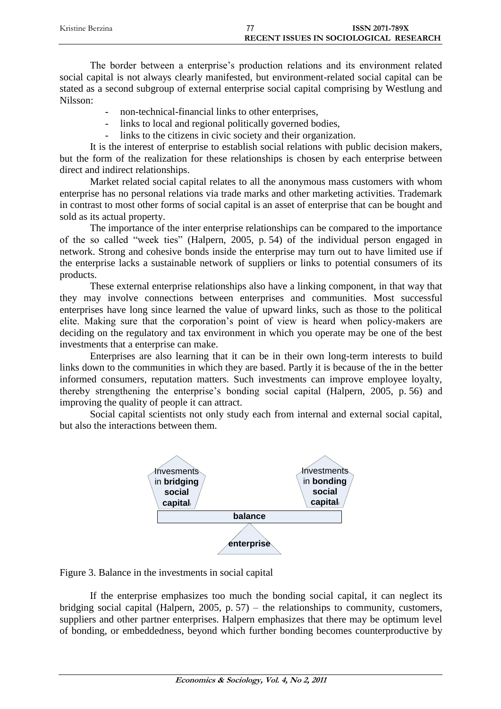| Kristine Berzina | <b>ISSN 2071-789X</b>                  |
|------------------|----------------------------------------|
|                  | RECENT ISSUES IN SOCIOLOGICAL RESEARCH |

The border between a enterprise's production relations and its environment related social capital is not always clearly manifested, but environment-related social capital can be stated as a second subgroup of external enterprise social capital comprising by Westlung and Nilsson:

- non-technical-financial links to other enterprises,
- links to local and regional politically governed bodies,
- links to the citizens in civic society and their organization.

It is the interest of enterprise to establish social relations with public decision makers, but the form of the realization for these relationships is chosen by each enterprise between direct and indirect relationships.

Market related social capital relates to all the anonymous mass customers with whom enterprise has no personal relations via trade marks and other marketing activities. Trademark in contrast to most other forms of social capital is an asset of enterprise that can be bought and sold as its actual property.

The importance of the inter enterprise relationships can be compared to the importance of the so called "week ties" (Halpern, 2005, p. 54) of the individual person engaged in network. Strong and cohesive bonds inside the enterprise may turn out to have limited use if the enterprise lacks a sustainable network of suppliers or links to potential consumers of its products.

These external enterprise relationships also have a linking component, in that way that they may involve connections between enterprises and communities. Most successful enterprises have long since learned the value of upward links, such as those to the political elite. Making sure that the corporation's point of view is heard when policy-makers are deciding on the regulatory and tax environment in which you operate may be one of the best investments that a enterprise can make.

Enterprises are also learning that it can be in their own long-term interests to build links down to the communities in which they are based. Partly it is because of the in the better informed consumers, reputation matters. Such investments can improve employee loyalty, thereby strengthening the enterprise's bonding social capital (Halpern, 2005, p. 56) and improving the quality of people it can attract.

Social capital scientists not only study each from internal and external social capital, but also the interactions between them.



Figure 3. Balance in the investments in social capital

If the enterprise emphasizes too much the bonding social capital, it can neglect its bridging social capital (Halpern, 2005, p. 57) – the relationships to community, customers, suppliers and other partner enterprises. Halpern emphasizes that there may be optimum level of bonding, or embeddedness, beyond which further bonding becomes counterproductive by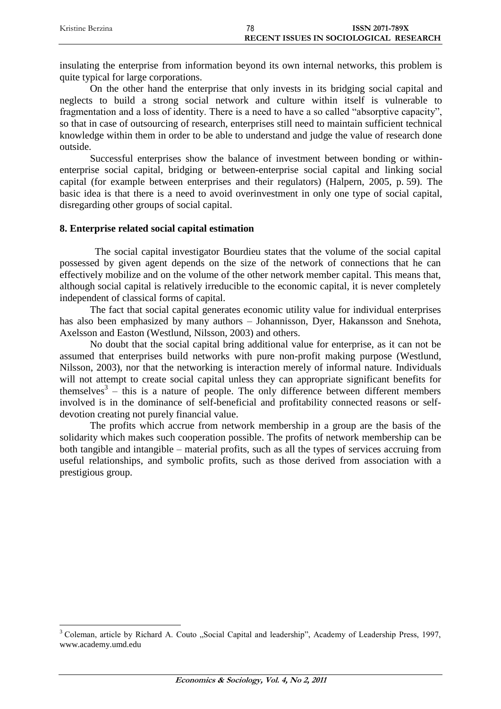| Kristine Berzina | 78 | <b>ISSN 2071-789X</b>                  |
|------------------|----|----------------------------------------|
|                  |    | RECENT ISSUES IN SOCIOLOGICAL RESEARCH |

insulating the enterprise from information beyond its own internal networks, this problem is quite typical for large corporations.

On the other hand the enterprise that only invests in its bridging social capital and neglects to build a strong social network and culture within itself is vulnerable to fragmentation and a loss of identity. There is a need to have a so called "absorptive capacity", so that in case of outsourcing of research, enterprises still need to maintain sufficient technical knowledge within them in order to be able to understand and judge the value of research done outside.

Successful enterprises show the balance of investment between bonding or withinenterprise social capital, bridging or between-enterprise social capital and linking social capital (for example between enterprises and their regulators) (Halpern, 2005, p. 59). The basic idea is that there is a need to avoid overinvestment in only one type of social capital, disregarding other groups of social capital.

## **8. Enterprise related social capital estimation**

 $\overline{a}$ 

The social capital investigator Bourdieu states that the volume of the social capital possessed by given agent depends on the size of the network of connections that he can effectively mobilize and on the volume of the other network member capital. This means that, although social capital is relatively irreducible to the economic capital, it is never completely independent of classical forms of capital.

The fact that social capital generates economic utility value for individual enterprises has also been emphasized by many authors – Johannisson, Dyer, Hakansson and Snehota, Axelsson and Easton (Westlund, Nilsson, 2003) and others.

No doubt that the social capital bring additional value for enterprise, as it can not be assumed that enterprises build networks with pure non-profit making purpose (Westlund, Nilsson, 2003), nor that the networking is interaction merely of informal nature. Individuals will not attempt to create social capital unless they can appropriate significant benefits for themselves<sup>3</sup> – this is a nature of people. The only difference between different members involved is in the dominance of self-beneficial and profitability connected reasons or selfdevotion creating not purely financial value.

The profits which accrue from network membership in a group are the basis of the solidarity which makes such cooperation possible. The profits of network membership can be both tangible and intangible – material profits, such as all the types of services accruing from useful relationships, and symbolic profits, such as those derived from association with a prestigious group.

<sup>&</sup>lt;sup>3</sup> Coleman, article by Richard A. Couto "Social Capital and leadership", Academy of Leadership Press, 1997, www.academy.umd.edu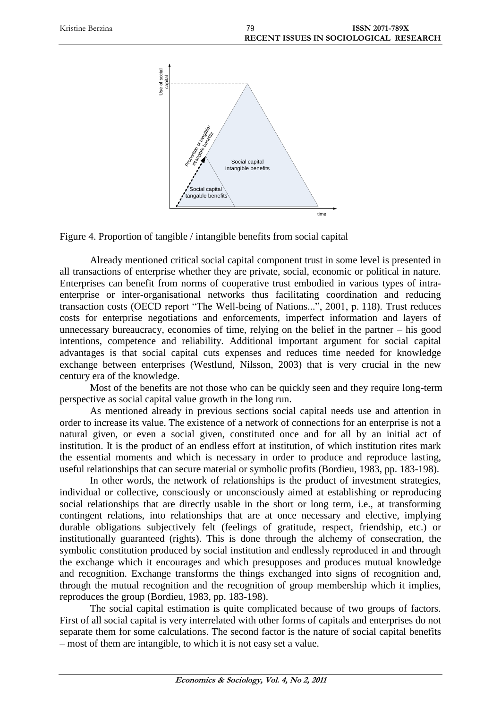

Figure 4. Proportion of tangible / intangible benefits from social capital

Already mentioned critical social capital component trust in some level is presented in all transactions of enterprise whether they are private, social, economic or political in nature. Enterprises can benefit from norms of cooperative trust embodied in various types of intraenterprise or inter-organisational networks thus facilitating coordination and reducing transaction costs (OECD report "The Well-being of Nations...", 2001, p. 118). Trust reduces costs for enterprise negotiations and enforcements, imperfect information and layers of unnecessary bureaucracy, economies of time, relying on the belief in the partner – his good intentions, competence and reliability. Additional important argument for social capital advantages is that social capital cuts expenses and reduces time needed for knowledge exchange between enterprises (Westlund, Nilsson, 2003) that is very crucial in the new century era of the knowledge.

Most of the benefits are not those who can be quickly seen and they require long-term perspective as social capital value growth in the long run.

As mentioned already in previous sections social capital needs use and attention in order to increase its value. The existence of a network of connections for an enterprise is not a natural given, or even a social given, constituted once and for all by an initial act of institution. It is the product of an endless effort at institution, of which institution rites mark the essential moments and which is necessary in order to produce and reproduce lasting, useful relationships that can secure material or symbolic profits (Bordieu, 1983, pp. 183-198).

In other words, the network of relationships is the product of investment strategies, individual or collective, consciously or unconsciously aimed at establishing or reproducing social relationships that are directly usable in the short or long term, i.e., at transforming contingent relations, into relationships that are at once necessary and elective, implying durable obligations subjectively felt (feelings of gratitude, respect, friendship, etc.) or institutionally guaranteed (rights). This is done through the alchemy of consecration, the symbolic constitution produced by social institution and endlessly reproduced in and through the exchange which it encourages and which presupposes and produces mutual knowledge and recognition. Exchange transforms the things exchanged into signs of recognition and, through the mutual recognition and the recognition of group membership which it implies, reproduces the group (Bordieu, 1983, pp. 183-198).

The social capital estimation is quite complicated because of two groups of factors. First of all social capital is very interrelated with other forms of capitals and enterprises do not separate them for some calculations. The second factor is the nature of social capital benefits – most of them are intangible, to which it is not easy set a value.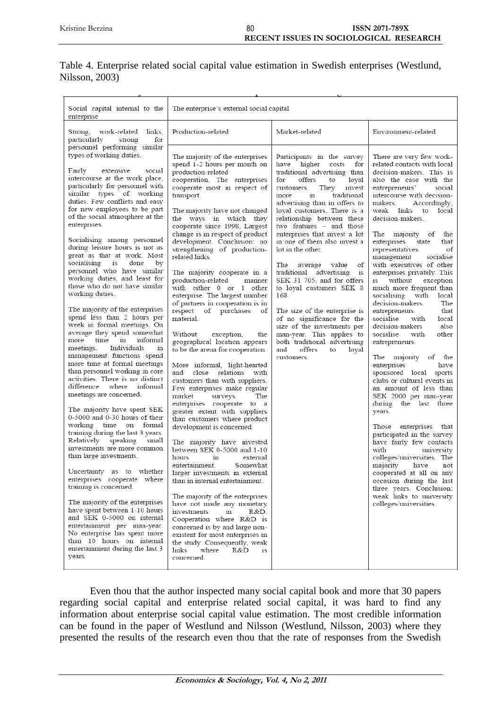# Table 4. Enterprise related social capital value estimation in Swedish enterprises (Westlund, Nilsson, 2003)

| Social capital internal to the<br>enterprise                                                                                                                                                                                                                                                                                                                                                                                                                                                                                                                                                                                                                                                                                                                                                                                                                                                                                                                                                                                                                                                                                                                                                                                                                                                                                                                                                                                                                                                                             | The enterprise's external social capital                                                                                                                                                                                                                                                                                                                                                                                                                                                                                                                                                                                                                                                                                                                                                                                                                                                                                                                                                                                                                                                                                                                                                                                                                                                                                                                                                                                                                                    |                                                                                                                                                                                                                                                                                                                                                                                                                                                                                                                                                                                                                                                                                                                                                                           |                                                                                                                                                                                                                                                                                                                                                                                                                                                                                                                                                                                                                                                                                                                                                                                                                                                                                                                                                                                                                                                                                                                                                                               |
|--------------------------------------------------------------------------------------------------------------------------------------------------------------------------------------------------------------------------------------------------------------------------------------------------------------------------------------------------------------------------------------------------------------------------------------------------------------------------------------------------------------------------------------------------------------------------------------------------------------------------------------------------------------------------------------------------------------------------------------------------------------------------------------------------------------------------------------------------------------------------------------------------------------------------------------------------------------------------------------------------------------------------------------------------------------------------------------------------------------------------------------------------------------------------------------------------------------------------------------------------------------------------------------------------------------------------------------------------------------------------------------------------------------------------------------------------------------------------------------------------------------------------|-----------------------------------------------------------------------------------------------------------------------------------------------------------------------------------------------------------------------------------------------------------------------------------------------------------------------------------------------------------------------------------------------------------------------------------------------------------------------------------------------------------------------------------------------------------------------------------------------------------------------------------------------------------------------------------------------------------------------------------------------------------------------------------------------------------------------------------------------------------------------------------------------------------------------------------------------------------------------------------------------------------------------------------------------------------------------------------------------------------------------------------------------------------------------------------------------------------------------------------------------------------------------------------------------------------------------------------------------------------------------------------------------------------------------------------------------------------------------------|---------------------------------------------------------------------------------------------------------------------------------------------------------------------------------------------------------------------------------------------------------------------------------------------------------------------------------------------------------------------------------------------------------------------------------------------------------------------------------------------------------------------------------------------------------------------------------------------------------------------------------------------------------------------------------------------------------------------------------------------------------------------------|-------------------------------------------------------------------------------------------------------------------------------------------------------------------------------------------------------------------------------------------------------------------------------------------------------------------------------------------------------------------------------------------------------------------------------------------------------------------------------------------------------------------------------------------------------------------------------------------------------------------------------------------------------------------------------------------------------------------------------------------------------------------------------------------------------------------------------------------------------------------------------------------------------------------------------------------------------------------------------------------------------------------------------------------------------------------------------------------------------------------------------------------------------------------------------|
| Strong, work-related<br>links.<br>particularly<br>for<br>strong                                                                                                                                                                                                                                                                                                                                                                                                                                                                                                                                                                                                                                                                                                                                                                                                                                                                                                                                                                                                                                                                                                                                                                                                                                                                                                                                                                                                                                                          | Production-related                                                                                                                                                                                                                                                                                                                                                                                                                                                                                                                                                                                                                                                                                                                                                                                                                                                                                                                                                                                                                                                                                                                                                                                                                                                                                                                                                                                                                                                          | Market-related                                                                                                                                                                                                                                                                                                                                                                                                                                                                                                                                                                                                                                                                                                                                                            | Environment-related                                                                                                                                                                                                                                                                                                                                                                                                                                                                                                                                                                                                                                                                                                                                                                                                                                                                                                                                                                                                                                                                                                                                                           |
| personnel performing similar<br>types of working duties.<br>Fairly<br>extensive<br>social<br>intercourse at the work place,<br>particularly for personnel with<br>similar types of working<br>duties. Few conflicts and easy<br>for new employees to be part<br>of the social atmosphere at the<br>enterprises.<br>Socialising among personnel<br>during leisure hours is not as<br>great as that at work. Most<br>socialising is<br>done<br>by<br>personnel who have similar<br>working duties, and least for<br>those who do not have similar<br>working duties.<br>The majority of the enterprises<br>spend less than 2 hours per<br>week in formal meetings. On<br>average they spend somewhat<br>more time in<br>informal<br>Individuals<br>meetings.<br>111<br>management functions spend<br>more time at formal meetings<br>than personnel working in core<br>activities. There is no distinct<br>difference where informal<br>meetings are concerned.<br>The majority have spent SEK<br>0-5000 and 0-30 hours of their<br>working time on formal<br>training during the last 3 years.<br>Relatively speaking<br>small<br>investments are more common<br>than large investments.<br>Uncertainty as to whether<br>enterprises cooperate where<br>training is concerned.<br>The majority of the enterprises<br>have spent between 1-10 hours<br>and SEK 0-5000 on internal<br>entertainment per man-year.<br>No enterprise has spent more<br>than 10 hours on internal<br>entertainment during the last 3<br>years. | The majority of the enterprises<br>spend 1-2 hours per month on<br>production-related<br>cooperation. The enterprises<br>cooperate most in respect of<br>transport.<br>The majority have not changed<br>the ways in which they<br>cooperate since 1998. Largest<br>change is in respect of product<br>development. Conclusion: no<br>strengthening of production-<br>related links.<br>The majority cooperate in a<br>production-related<br>manner<br>with either 0 or 1 other<br>enterprise. The largest number<br>of partners in cooperation is in<br>respect of purchases<br>οf<br>material.<br>Without<br>exception,<br>the<br>geographical location appears<br>to be the arena for cooperation.<br>More informal, light-hearted<br>and close relations with<br>customers than with suppliers.<br>Few enterprises make regular<br>market<br>surveys.<br>The<br>enterprises cooperate to a<br>greater extent with suppliers<br>than customers where product<br>development is concerned.<br>The majority have invested<br>between SEK 0-5000 and 1-10<br>hours<br>in<br>external<br>Somewhat<br>entertainment.<br>larger investments in external<br>than in internal entertainment.<br>The majority of the enterprises<br>have not made any monetary<br>investments<br>$\rm{in}$<br>R&D.<br>Cooperation where R&D is<br>concerned is by and large non-<br>existent for most enterprises in<br>the study. Consequently, weak<br>links<br>where<br>R&D<br>1S<br>concerned. | Participants in the survey<br>have higher costs for<br>traditional advertising than<br>offers<br>for<br>to<br>loval<br>They<br>customers.<br>invest<br>traditional<br>$\overline{\mathbf{m}}$<br>more<br>advertising than in offers to<br>loyal customers. There is a<br>relationship between these<br>two features – and those<br>enterprises that invest a lot<br>in one of them also invest a<br>lot in the other.<br>The<br>οf<br>average<br>value<br>traditional advertising<br><b>1S</b><br>SEK 31 705, and for offers<br>to loyal customers SEK 8<br>168.<br>The size of the enterprise is<br>of no significance for the<br>size of the investments per<br>man-year. This applies to<br>both traditional advertising<br>and<br>offers<br>loyal<br>to<br>customers. | There are very few work-<br>related contacts with local<br>decision-makers. This is<br>also the case with the<br>entrepreneurs'<br>social<br>intercourse with decision-<br>makers.<br>Accordingly,<br>weak links to local<br>decision-makers.<br>The majority of<br>the<br>enterprises state<br>that<br>representatives<br>οf<br>management<br>socialise<br>with executives of other<br>enterprises privately. This<br>is without exception<br>much more frequent than<br>socialising with local<br>decision-makers.<br>The<br>that<br>entrepreneurs<br>socialise<br>with<br>local<br>decision-makers<br>also<br>socialise<br>with<br>other<br>entrepreneurs.<br>majority<br>The<br>of the<br>enterprises<br>have<br>sponsored local sports<br>clubs or cultural events in<br>an amount of less than<br>SEK 2000 per man-year<br>during the last three<br>years.<br>Those enterprises that<br>participated in the survey<br>have fairly few contacts<br>with<br>university<br>colleges/universities. The<br>majority<br>have<br>not<br>cooperated at all on any<br>occasion during the last<br>three years. Conclusion:<br>weak links to university<br>colleges/universities. |
|                                                                                                                                                                                                                                                                                                                                                                                                                                                                                                                                                                                                                                                                                                                                                                                                                                                                                                                                                                                                                                                                                                                                                                                                                                                                                                                                                                                                                                                                                                                          |                                                                                                                                                                                                                                                                                                                                                                                                                                                                                                                                                                                                                                                                                                                                                                                                                                                                                                                                                                                                                                                                                                                                                                                                                                                                                                                                                                                                                                                                             |                                                                                                                                                                                                                                                                                                                                                                                                                                                                                                                                                                                                                                                                                                                                                                           |                                                                                                                                                                                                                                                                                                                                                                                                                                                                                                                                                                                                                                                                                                                                                                                                                                                                                                                                                                                                                                                                                                                                                                               |

Even thou that the author inspected many social capital book and more that 30 papers regarding social capital and enterprise related social capital, it was hard to find any information about enterprise social capital value estimation. The most credible information can be found in the paper of Westlund and Nilsson (Westlund, Nilsson, 2003) where they presented the results of the research even thou that the rate of responses from the Swedish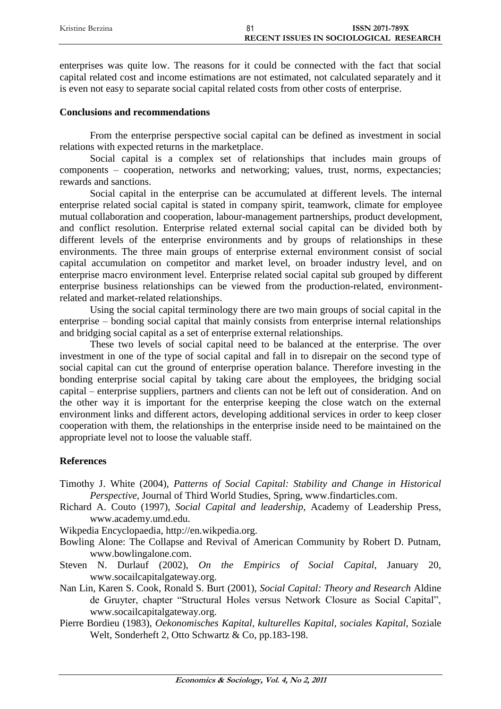| Kristine Berzina | <b>ISSN 2071-789X</b>                  |
|------------------|----------------------------------------|
|                  | RECENT ISSUES IN SOCIOLOGICAL RESEARCH |

enterprises was quite low. The reasons for it could be connected with the fact that social capital related cost and income estimations are not estimated, not calculated separately and it is even not easy to separate social capital related costs from other costs of enterprise.

## **Conclusions and recommendations**

From the enterprise perspective social capital can be defined as investment in social relations with expected returns in the marketplace.

Social capital is a complex set of relationships that includes main groups of components – cooperation, networks and networking; values, trust, norms, expectancies; rewards and sanctions.

Social capital in the enterprise can be accumulated at different levels. The internal enterprise related social capital is stated in company spirit, teamwork, climate for employee mutual collaboration and cooperation, labour-management partnerships, product development, and conflict resolution. Enterprise related external social capital can be divided both by different levels of the enterprise environments and by groups of relationships in these environments. The three main groups of enterprise external environment consist of social capital accumulation on competitor and market level, on broader industry level, and on enterprise macro environment level. Enterprise related social capital sub grouped by different enterprise business relationships can be viewed from the production-related, environmentrelated and market-related relationships.

Using the social capital terminology there are two main groups of social capital in the enterprise – bonding social capital that mainly consists from enterprise internal relationships and bridging social capital as a set of enterprise external relationships.

These two levels of social capital need to be balanced at the enterprise. The over investment in one of the type of social capital and fall in to disrepair on the second type of social capital can cut the ground of enterprise operation balance. Therefore investing in the bonding enterprise social capital by taking care about the employees, the bridging social capital – enterprise suppliers, partners and clients can not be left out of consideration. And on the other way it is important for the enterprise keeping the close watch on the external environment links and different actors, developing additional services in order to keep closer cooperation with them, the relationships in the enterprise inside need to be maintained on the appropriate level not to loose the valuable staff.

# **References**

- Timothy J. White (2004), *Patterns of Social Capital: Stability and Change in Historical Perspective*, Journal of Third World Studies, Spring, [www.finda](http://www.find/)rticles.com.
- Richard A. Couto (1997), *Social Capital and leadership*, Academy of Leadership Press, www.academy.umd.edu.
- Wikpedia Encyclopaedia, http://en.wikpedia.org.
- Bowling Alone: The Collapse and Revival of American Community by Robert D. Putnam, www.bowlingalone.com.
- Steven N. Durlauf (2002), *On the Empirics of Social Capital*, January 20, www.socailcapitalgateway.org.
- Nan Lin, Karen S. Cook, Ronald S. Burt (2001), *Social Capital: Theory and Research* Aldine de Gruyter, chapter "Structural Holes versus Network Closure as Social Capital", www.socailcapitalgateway.org.
- Pierre Bordieu (1983), *Oekonomisches Kapital, kulturelles Kapital, sociales Kapital*, Soziale Welt, Sonderheft 2, Otto Schwartz & Co, pp.183-198.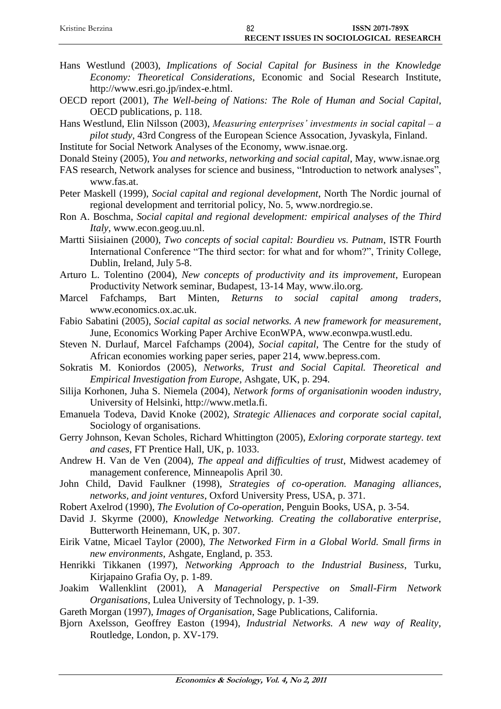| Kristine Berzina | 82 | <b>ISSN 2071-789X</b>                  |
|------------------|----|----------------------------------------|
|                  |    | RECENT ISSUES IN SOCIOLOGICAL RESEARCH |

- Hans Westlund (2003), *Implications of Social Capital for Business in the Knowledge Economy: Theoretical Considerations*, Economic and Social Research Institute, http://www.esri.go.jp/index-e.html.
- OECD report (2001), *The Well-being of Nations: The Role of Human and Social Capital*, OECD publications, p. 118.
- Hans Westlund, Elin Nilsson (2003), *Measuring enterprises' investments in social capital – a pilot study*, 43rd Congress of the European Science Assocation, Jyvaskyla, Finland.
- Institute for Social Network Analyses of the Economy, www.isnae.org.
- Donald Steiny (2005), *You and networks, networking and social capital*, May, www.isnae.org
- FAS research, Network analyses for science and business, "Introduction to network analyses", www.fas.at.
- Peter Maskell (1999), *Social capital and regional development*, North The Nordic journal of regional development and territorial policy, No. 5, www.nordregio.se.
- Ron A. Boschma, *Social capital and regional development: empirical analyses of the Third Italy*, www.econ.geog.uu.nl.
- Martti Siisiainen (2000), *Two concepts of social capital: Bourdieu vs. Putnam*, ISTR Fourth International Conference "The third sector: for what and for whom?", Trinity College, Dublin, Ireland, July 5-8.
- Arturo L. Tolentino (2004), *New concepts of productivity and its improvement*, European Productivity Network seminar, Budapest, 13-14 May, www.ilo.org.
- Marcel Fafchamps, Bart Minten, *Returns to social capital among traders*, www.economics.ox.ac.uk.
- Fabio Sabatini (2005), *Social capital as social networks. A new framework for measurement*, June, [Economics Working Paper Archive EconWPA,](http://econwpa.wustl.edu/) www.econwpa.wustl.edu.
- Steven N. Durlauf, Marcel Fafchamps (2004), *Social capital*, The Centre for the study of African economies working paper series, paper 214, www.bepress.com.
- Sokratis M. Koniordos (2005), *Networks, Trust and Social Capital. Theoretical and Empirical Investigation from Europe*, Ashgate, UK, p. 294.
- Silija Korhonen, Juha S. Niemela (2004), *Network forms of organisationin wooden industry*, University of Helsinki, http://www.metla.fi.
- Emanuela Todeva, David Knoke (2002), *Strategic Allienaces and corporate social capital*, Sociology of organisations.
- Gerry Johnson, Kevan Scholes, Richard Whittington (2005), *Exloring corporate startegy. text and cases*, FT Prentice Hall, UK, p. 1033.
- Andrew H. Van de Ven (2004), *The appeal and difficulties of trust*, Midwest academey of management conference, Minneapolis April 30.
- John Child, David Faulkner (1998), *Strategies of co-operation. Managing alliances, networks, and joint ventures*, Oxford University Press, USA, p. 371.
- Robert Axelrod (1990), *The Evolution of Co-operation*, Penguin Books, USA, p. 3-54.
- David J. Skyrme (2000), *Knowledge Networking. Creating the collaborative enterprise*, Butterworth Heinemann, UK, p. 307.
- Eirik Vatne, Micael Taylor (2000), *The Networked Firm in a Global World. Small firms in new environments*, Ashgate, England, p. 353.
- Henrikki Tikkanen (1997), *Networking Approach to the Industrial Business*, Turku, Kirjapaino Grafia Oy, p. 1-89.
- Joakim Wallenklint (2001), A *Managerial Perspective on Small-Firm Network Organisations*, Lulea University of Technology, p. 1-39.
- Gareth Morgan (1997), *Images of Organisation*, Sage Publications, California.
- Bjorn Axelsson, Geoffrey Easton (1994), *Industrial Networks. A new way of Reality*, Routledge, London, p. XV-179.